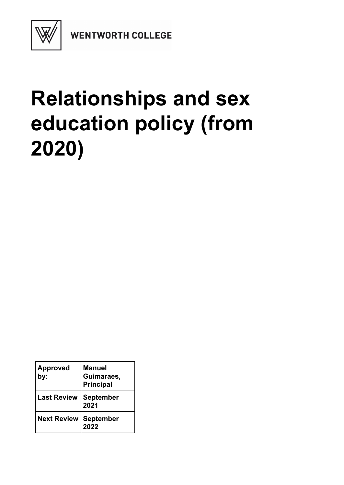

**WENTWORTH COLLEGE** 

# **Relationships and sex education policy (from 2020)**

| <b>Approved</b><br>by: | <b>Manuel</b><br>Guimaraes,<br><b>Principal</b> |
|------------------------|-------------------------------------------------|
| <b>Last Review</b>     | <b>September</b><br>2021                        |
| <b>Next Review</b>     | September<br>2022                               |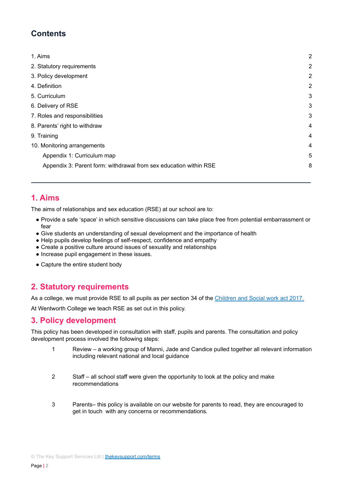# **Contents**

| 1. Aims                                                           | $\overline{2}$ |
|-------------------------------------------------------------------|----------------|
| 2. Statutory requirements                                         | $\overline{2}$ |
| 3. Policy development                                             | $\overline{2}$ |
| 4. Definition                                                     | $\overline{2}$ |
| 5. Curriculum                                                     | 3              |
| 6. Delivery of RSE                                                | 3              |
| 7. Roles and responsibilities                                     | 3              |
| 8. Parents' right to withdraw                                     | 4              |
| 9. Training                                                       | 4              |
| 10. Monitoring arrangements                                       | $\overline{4}$ |
| Appendix 1: Curriculum map                                        | 5              |
| Appendix 3: Parent form: withdrawal from sex education within RSE | 8              |
|                                                                   |                |

# **1. Aims**

The aims of relationships and sex education (RSE) at our school are to:

- Provide a safe 'space' in which sensitive discussions can take place free from potential embarrassment or fear
- Give students an understanding of sexual development and the importance of health
- Help pupils develop feelings of self-respect, confidence and empathy
- Create a positive culture around issues of sexuality and relationships
- Increase pupil engagement in these issues.
- Capture the entire student body

# **2. Statutory requirements**

As a college, we must provide RSE to all pupils as per section 34 of the [Children](http://www.legislation.gov.uk/ukpga/2017/16/section/34/enacted) and Social work act 2017.

At Wentworth College we teach RSE as set out in this policy.

## **3. Policy development**

This policy has been developed in consultation with staff, pupils and parents. The consultation and policy development process involved the following steps:

- 1 Review a working group of Manni, Jade and Candice pulled together all relevant information including relevant national and local guidance
- 2 Staff all school staff were given the opportunity to look at the policy and make recommendations
- 3 Parents– this policy is available on our website for parents to read, they are encouraged to get in touch with any concerns or recommendations.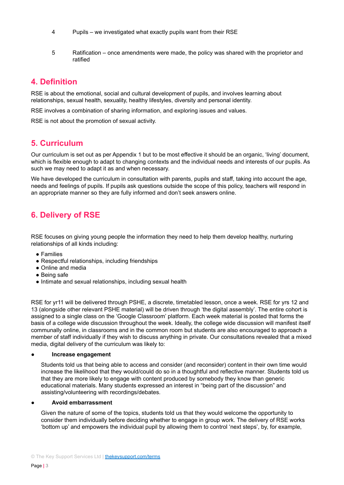- 4 Pupils we investigated what exactly pupils want from their RSE
- 5 Ratification once amendments were made, the policy was shared with the proprietor and ratified

# **4. Definition**

RSE is about the emotional, social and cultural development of pupils, and involves learning about relationships, sexual health, sexuality, healthy lifestyles, diversity and personal identity.

RSE involves a combination of sharing information, and exploring issues and values.

RSE is not about the promotion of sexual activity.

# **5. Curriculum**

Our curriculum is set out as per Appendix 1 but to be most effective it should be an organic, 'living' document, which is flexible enough to adapt to changing contexts and the individual needs and interests of our pupils. As such we may need to adapt it as and when necessary.

We have developed the curriculum in consultation with parents, pupils and staff, taking into account the age, needs and feelings of pupils. If pupils ask questions outside the scope of this policy, teachers will respond in an appropriate manner so they are fully informed and don't seek answers online.

# **6. Delivery of RSE**

RSE focuses on giving young people the information they need to help them develop healthy, nurturing relationships of all kinds including:

- Families
- Respectful relationships, including friendships
- Online and media
- Being safe
- Intimate and sexual relationships, including sexual health

RSE for yr11 will be delivered through PSHE, a discrete, timetabled lesson, once a week. RSE for yrs 12 and 13 (alongside other relevant PSHE material) will be driven through 'the digital assembly'. The entire cohort is assigned to a single class on the 'Google Classroom' platform. Each week material is posted that forms the basis of a college wide discussion throughout the week. Ideally, the college wide discussion will manifest itself communally online, in classrooms and in the common room but students are also encouraged to approach a member of staff individually if they wish to discuss anything in private. Our consultations revealed that a mixed media, digital delivery of the curriculum was likely to:

#### **● Increase engagement**

Students told us that being able to access and consider (and reconsider) content in their own time would increase the likelihood that they would/could do so in a thoughtful and reflective manner. Students told us that they are more likely to engage with content produced by somebody they know than generic educational materials. Many students expressed an interest in "being part of the discussion" and assisting/volunteering with recordings/debates.

#### **● Avoid embarrassment**

Given the nature of some of the topics, students told us that they would welcome the opportunity to consider them individually before deciding whether to engage in group work. The delivery of RSE works 'bottom up' and empowers the individual pupil by allowing them to control 'next steps', by, for example,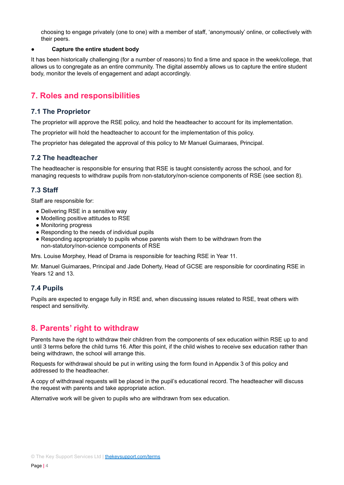choosing to engage privately (one to one) with a member of staff, 'anonymously' online, or collectively with their peers.

#### **● Capture the entire student body**

It has been historically challenging (for a number of reasons) to find a time and space in the week/college, that allows us to congregate as an entire community. The digital assembly allows us to capture the entire student body, monitor the levels of engagement and adapt accordingly.

# **7. Roles and responsibilities**

#### **7.1 The Proprietor**

The proprietor will approve the RSE policy, and hold the headteacher to account for its implementation.

The proprietor will hold the headteacher to account for the implementation of this policy.

The proprietor has delegated the approval of this policy to Mr Manuel Guimaraes, Principal.

#### **7.2 The headteacher**

The headteacher is responsible for ensuring that RSE is taught consistently across the school, and for managing requests to withdraw pupils from non-statutory/non-science components of RSE (see section 8).

#### **7.3 Staff**

Staff are responsible for:

- Delivering RSE in a sensitive way
- Modelling positive attitudes to RSE
- Monitoring progress
- Responding to the needs of individual pupils
- Responding appropriately to pupils whose parents wish them to be withdrawn from the non-statutory/non-science components of RSE

Mrs. Louise Morphey, Head of Drama is responsible for teaching RSE in Year 11.

Mr. Manuel Guimaraes, Principal and Jade Doherty, Head of GCSE are responsible for coordinating RSE in Years 12 and 13.

## **7.4 Pupils**

Pupils are expected to engage fully in RSE and, when discussing issues related to RSE, treat others with respect and sensitivity.

# **8. Parents' right to withdraw**

Parents have the right to withdraw their children from the components of sex education within RSE up to and until 3 terms before the child turns 16. After this point, if the child wishes to receive sex education rather than being withdrawn, the school will arrange this.

Requests for withdrawal should be put in writing using the form found in Appendix 3 of this policy and addressed to the headteacher.

A copy of withdrawal requests will be placed in the pupil's educational record. The headteacher will discuss the request with parents and take appropriate action.

Alternative work will be given to pupils who are withdrawn from sex education.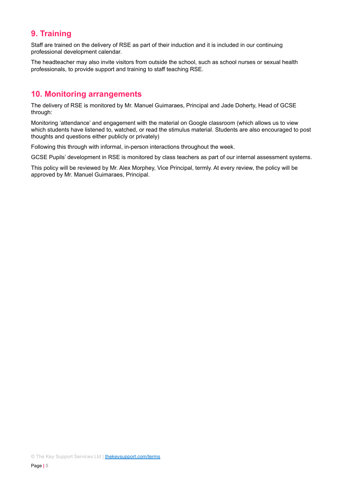# **9. Training**

Staff are trained on the delivery of RSE as part of their induction and it is included in our continuing professional development calendar.

The headteacher may also invite visitors from outside the school, such as school nurses or sexual health professionals, to provide support and training to staff teaching RSE.

# **10. Monitoring arrangements**

The delivery of RSE is monitored by Mr. Manuel Guimaraes, Principal and Jade Doherty, Head of GCSE through:

Monitoring 'attendance' and engagement with the material on Google classroom (which allows us to view which students have listened to, watched, or read the stimulus material. Students are also encouraged to post thoughts and questions either publicly or privately)

Following this through with informal, in-person interactions throughout the week.

GCSE Pupils' development in RSE is monitored by class teachers as part of our internal assessment systems.

This policy will be reviewed by Mr. Alex Morphey, Vice Principal, termly. At every review, the policy will be approved by Mr. Manuel Guimaraes, Principal.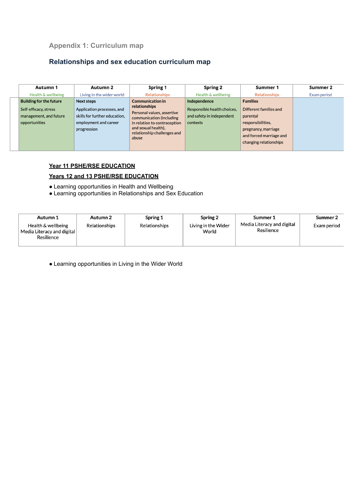## **Appendix 1: Curriculum map**

# **Relationships and sex education curriculum map**

| <b>Autumn 1</b>                                                                                    | Autumn 2                                                                                                                 | <b>Spring 1</b>                                                                                                                                                                          | <b>Spring 2</b>                                                                      | Summer 1                                                                                          | Summer 2    |
|----------------------------------------------------------------------------------------------------|--------------------------------------------------------------------------------------------------------------------------|------------------------------------------------------------------------------------------------------------------------------------------------------------------------------------------|--------------------------------------------------------------------------------------|---------------------------------------------------------------------------------------------------|-------------|
| Health & wellbeing                                                                                 | Living in the wider world                                                                                                | Relationships                                                                                                                                                                            | Health & wellbeing                                                                   | Relationships                                                                                     | Exam period |
| <b>Building for the future</b><br>Self-efficacy, stress<br>management, and future<br>opportunities | <b>Next steps</b><br>Application processes, and<br>skills for further education.<br>employment and career<br>progression | <b>Communication in</b><br>relationships<br>Personal values, assertive<br>communication (including<br>in relation to contraception<br>and sexual health),<br>relationship challenges and | Independence<br>Responsible health choices,<br>and safety in independent<br>contexts | <b>Families</b><br>Different families and<br>parental<br>responsibilities.<br>pregnancy, marriage |             |
|                                                                                                    |                                                                                                                          | abuse                                                                                                                                                                                    |                                                                                      | and forced marriage and<br>changing relationships                                                 |             |

#### **Year 11 PSHE/RSE EDUCATION**

#### **Years 12 and 13 PSHE/RSE EDUCATION**

- Learning opportunities in Health and Wellbeing
- Learning opportunities in Relationships and Sex Education

| Autumn 1<br>Health & wellbeing<br>Media Literacy and digital<br>Resilience | Autumn 2<br>Relationships | Spring 1<br>Relationships | Spring 2<br>Living in the Wider<br>World | Summer 1<br>Media Literacy and digital<br>Resilience | Summer 2<br>Exam period |
|----------------------------------------------------------------------------|---------------------------|---------------------------|------------------------------------------|------------------------------------------------------|-------------------------|
|----------------------------------------------------------------------------|---------------------------|---------------------------|------------------------------------------|------------------------------------------------------|-------------------------|

● Learning opportunities in Living in the Wider World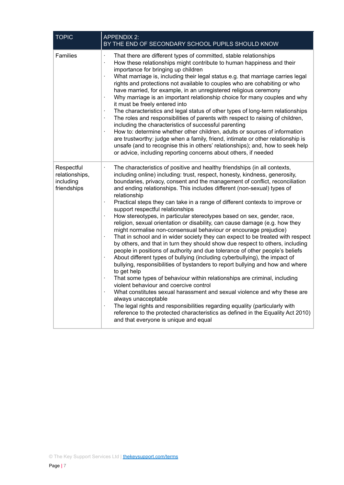| <b>TOPIC</b>                                             | <b>APPENDIX 2:</b><br>BY THE END OF SECONDARY SCHOOL PUPILS SHOULD KNOW                                                                                                                                                                                                                                                                                                                                                                                                                                                                                                                                                                                                                                                                                                                                                                                                                                                                                                                                                                                                                                                                                                                                                                                                                                                                                                                                                                                                                                                                                                           |  |  |
|----------------------------------------------------------|-----------------------------------------------------------------------------------------------------------------------------------------------------------------------------------------------------------------------------------------------------------------------------------------------------------------------------------------------------------------------------------------------------------------------------------------------------------------------------------------------------------------------------------------------------------------------------------------------------------------------------------------------------------------------------------------------------------------------------------------------------------------------------------------------------------------------------------------------------------------------------------------------------------------------------------------------------------------------------------------------------------------------------------------------------------------------------------------------------------------------------------------------------------------------------------------------------------------------------------------------------------------------------------------------------------------------------------------------------------------------------------------------------------------------------------------------------------------------------------------------------------------------------------------------------------------------------------|--|--|
| Families                                                 | That there are different types of committed, stable relationships<br>ł,<br>How these relationships might contribute to human happiness and their<br>importance for bringing up children<br>What marriage is, including their legal status e.g. that marriage carries legal<br>×,<br>rights and protections not available to couples who are cohabiting or who<br>have married, for example, in an unregistered religious ceremony<br>Why marriage is an important relationship choice for many couples and why<br>ł,<br>it must be freely entered into<br>The characteristics and legal status of other types of long-term relationships<br>The roles and responsibilities of parents with respect to raising of children,<br>including the characteristics of successful parenting<br>How to: determine whether other children, adults or sources of information<br>×,<br>are trustworthy: judge when a family, friend, intimate or other relationship is<br>unsafe (and to recognise this in others' relationships); and, how to seek help<br>or advice, including reporting concerns about others, if needed                                                                                                                                                                                                                                                                                                                                                                                                                                                                   |  |  |
| Respectful<br>relationships,<br>including<br>friendships | The characteristics of positive and healthy friendships (in all contexts,<br>including online) including: trust, respect, honesty, kindness, generosity,<br>boundaries, privacy, consent and the management of conflict, reconciliation<br>and ending relationships. This includes different (non-sexual) types of<br>relationship<br>Practical steps they can take in a range of different contexts to improve or<br>$\blacksquare$<br>support respectful relationships<br>How stereotypes, in particular stereotypes based on sex, gender, race,<br>ł,<br>religion, sexual orientation or disability, can cause damage (e.g. how they<br>might normalise non-consensual behaviour or encourage prejudice)<br>That in school and in wider society they can expect to be treated with respect<br>by others, and that in turn they should show due respect to others, including<br>people in positions of authority and due tolerance of other people's beliefs<br>About different types of bullying (including cyberbullying), the impact of<br>bullying, responsibilities of bystanders to report bullying and how and where<br>to get help<br>That some types of behaviour within relationships are criminal, including<br>violent behaviour and coercive control<br>What constitutes sexual harassment and sexual violence and why these are<br>always unacceptable<br>The legal rights and responsibilities regarding equality (particularly with<br>reference to the protected characteristics as defined in the Equality Act 2010)<br>and that everyone is unique and equal |  |  |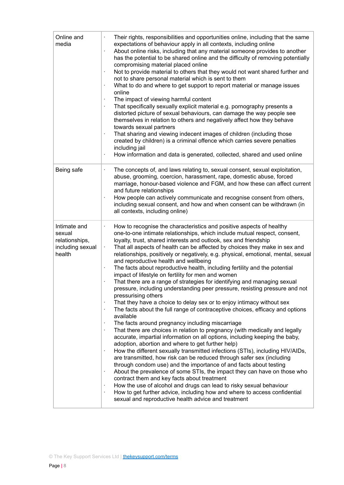| Online and<br>media                                                    | Their rights, responsibilities and opportunities online, including that the same<br>expectations of behaviour apply in all contexts, including online<br>About online risks, including that any material someone provides to another<br>has the potential to be shared online and the difficulty of removing potentially<br>compromising material placed online<br>Not to provide material to others that they would not want shared further and<br>not to share personal material which is sent to them<br>What to do and where to get support to report material or manage issues<br>online<br>The impact of viewing harmful content<br>That specifically sexually explicit material e.g. pornography presents a<br>distorted picture of sexual behaviours, can damage the way people see<br>themselves in relation to others and negatively affect how they behave<br>towards sexual partners<br>That sharing and viewing indecent images of children (including those<br>created by children) is a criminal offence which carries severe penalties<br>including jail<br>How information and data is generated, collected, shared and used online<br>$\cdot$                                                                                                                                                                                                                                                                                                                                                                                                                                                                                                                                                                                                                                                                                                                  |
|------------------------------------------------------------------------|----------------------------------------------------------------------------------------------------------------------------------------------------------------------------------------------------------------------------------------------------------------------------------------------------------------------------------------------------------------------------------------------------------------------------------------------------------------------------------------------------------------------------------------------------------------------------------------------------------------------------------------------------------------------------------------------------------------------------------------------------------------------------------------------------------------------------------------------------------------------------------------------------------------------------------------------------------------------------------------------------------------------------------------------------------------------------------------------------------------------------------------------------------------------------------------------------------------------------------------------------------------------------------------------------------------------------------------------------------------------------------------------------------------------------------------------------------------------------------------------------------------------------------------------------------------------------------------------------------------------------------------------------------------------------------------------------------------------------------------------------------------------------------------------------------------------------------------------------------------------------------|
| Being safe                                                             | The concepts of, and laws relating to, sexual consent, sexual exploitation,<br>$\cdot$<br>abuse, grooming, coercion, harassment, rape, domestic abuse, forced<br>marriage, honour-based violence and FGM, and how these can affect current<br>and future relationships<br>How people can actively communicate and recognise consent from others,<br>$\cdot$<br>including sexual consent, and how and when consent can be withdrawn (in<br>all contexts, including online)                                                                                                                                                                                                                                                                                                                                                                                                                                                                                                                                                                                                                                                                                                                                                                                                                                                                                                                                                                                                                                                                                                                                                                                                                                                                                                                                                                                                        |
| Intimate and<br>sexual<br>relationships,<br>including sexual<br>health | How to recognise the characteristics and positive aspects of healthy<br>one-to-one intimate relationships, which include mutual respect, consent,<br>loyalty, trust, shared interests and outlook, sex and friendship<br>That all aspects of health can be affected by choices they make in sex and<br>$\blacksquare$<br>relationships, positively or negatively, e.g. physical, emotional, mental, sexual<br>and reproductive health and wellbeing<br>The facts about reproductive health, including fertility and the potential<br>impact of lifestyle on fertility for men and women<br>That there are a range of strategies for identifying and managing sexual<br>pressure, including understanding peer pressure, resisting pressure and not<br>pressurising others<br>That they have a choice to delay sex or to enjoy intimacy without sex<br>$\cdot$<br>The facts about the full range of contraceptive choices, efficacy and options<br>$\cdot$<br>available<br>The facts around pregnancy including miscarriage<br>$\cdot$<br>That there are choices in relation to pregnancy (with medically and legally<br>$\cdot$<br>accurate, impartial information on all options, including keeping the baby,<br>adoption, abortion and where to get further help)<br>How the different sexually transmitted infections (STIs), including HIV/AIDs,<br>$\cdot$<br>are transmitted, how risk can be reduced through safer sex (including<br>through condom use) and the importance of and facts about testing<br>About the prevalence of some STIs, the impact they can have on those who<br>$\blacksquare$<br>contract them and key facts about treatment<br>How the use of alcohol and drugs can lead to risky sexual behaviour<br>How to get further advice, including how and where to access confidential<br>$\cdot$<br>sexual and reproductive health advice and treatment |